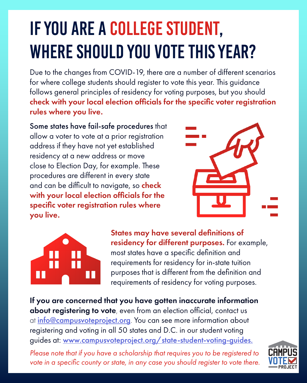# If you are a college student, WHERE SHOULD YOU VOTE THIS YEAR?

Due to the changes from COVID-19, there are a number of different scenarios for where college students should register to vote this year. This guidance follows general principles of residency for voting purposes, but you should check with your local election officials for the specific voter registration rules where you live.

#### Some states have fail-safe procedures that allow a voter to vote at a prior registration address if they have not yet established residency at a new address or move close to Election Day, for example. These procedures are different in every state and can be difficult to navigate, so check with your local election officials for the specific voter registration rules where you live.





If you are concerned that you have gotten inaccurate information about registering to vote, even from an election official, contact us at *info@campusvoteproject.org*. You can see more information about registering and voting in all 50 states and D.C. in our student voting guides at: www.campusvoteproject.org/state-student-voting-guides. *Please note that if you have a scholarship that requires you to be registered to* 

vote in a specific county or state, in any case you should register to vote there.



States may have several definitions of residency for different purposes. For example, most states have a specific definition and

requirements for residency for in-state tuition purposes that is different from the definition and requirements of residency for voting purposes.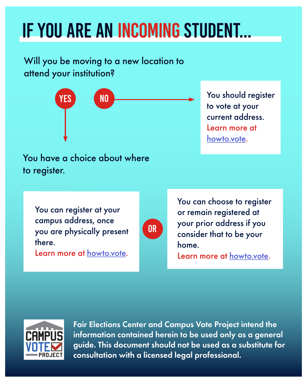## If you are an incoming student...

to vote at your current address. Learn more at howto.vote.

Will you be moving to a new location to attend your institution?

You have a choice about where to register.

You can register at your campus address, once you are physically present there.

Learn more at <u>howto.vote</u>.



You can choose to register or remain registered at your prior address if you consider that to be your home.



#### Learn more at howto.vote.





Fair Elections Center and Campus Vote Project intend the information contained herein to be used only as a general guide. This document should not be used as a substitute for consultation with a licensed legal professional.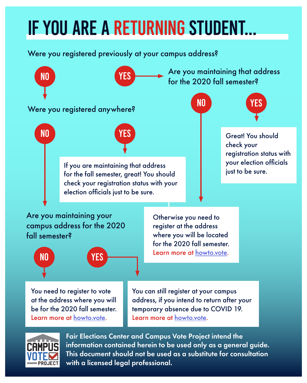## If you are a returning student...

Were you registered previously at your campus address?

where you will be located for the 2020 fall semester. Learn more at howto.vote.



You can still register at your campus address, if you intend to return after your temporary absence due to COVID 19. Learn more at howto.vote.



You need to register to vote at the address where you will be for the 2020 fall semester. Learn more at howto.vote.



Fair Elections Center and Campus Vote Project intend the information contained herein to be used only as a general guide. This document should not be used as a substitute for consultation with a licensed legal professional.